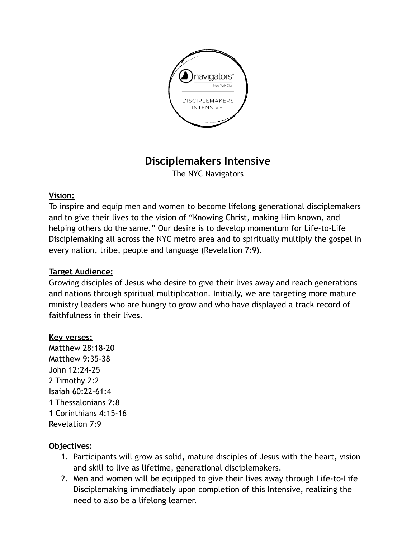

# **Disciplemakers Intensive**

The NYC Navigators

### **Vision:**

To inspire and equip men and women to become lifelong generational disciplemakers and to give their lives to the vision of "Knowing Christ, making Him known, and helping others do the same." Our desire is to develop momentum for Life-to-Life Disciplemaking all across the NYC metro area and to spiritually multiply the gospel in every nation, tribe, people and language (Revelation 7:9).

## **Target Audience:**

Growing disciples of Jesus who desire to give their lives away and reach generations and nations through spiritual multiplication. Initially, we are targeting more mature ministry leaders who are hungry to grow and who have displayed a track record of faithfulness in their lives.

### **Key verses:**

Matthew 28:18-20 Matthew 9:35-38 John 12:24-25 2 Timothy 2:2 Isaiah 60:22-61:4 1 Thessalonians 2:8 1 Corinthians 4:15-16 Revelation 7:9

### **Objectives:**

- 1. Participants will grow as solid, mature disciples of Jesus with the heart, vision and skill to live as lifetime, generational disciplemakers.
- 2. Men and women will be equipped to give their lives away through Life-to-Life Disciplemaking immediately upon completion of this Intensive, realizing the need to also be a lifelong learner.